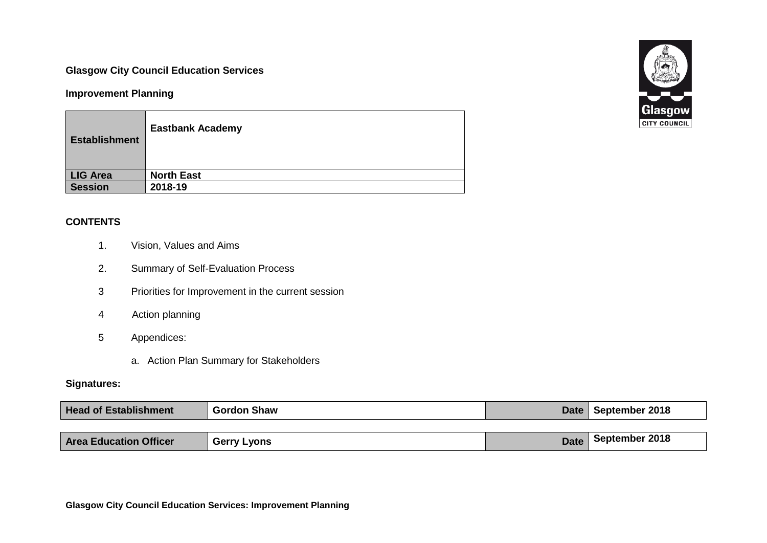## **Glasgow City Council Education Services**

### **Improvement Planning**

| <b>Establishment</b> | <b>Eastbank Academy</b> |
|----------------------|-------------------------|
| LIG Area             | <b>North East</b>       |
| <b>Session</b>       | 2018-19                 |

## **CONTENTS**

- 1. Vision, Values and Aims
- 2. Summary of Self-Evaluation Process
- 3 Priorities for Improvement in the current session
- 4 Action planning
- 5 Appendices:
	- a. Action Plan Summary for Stakeholders

### **Signatures:**

| <b>Head of Establishment</b>  | <b>Gordon Shaw</b> |             | Date   September 2018 |
|-------------------------------|--------------------|-------------|-----------------------|
|                               |                    |             |                       |
| <b>Area Education Officer</b> | <b>Gerry Lyons</b> | <b>Date</b> | September 2018        |

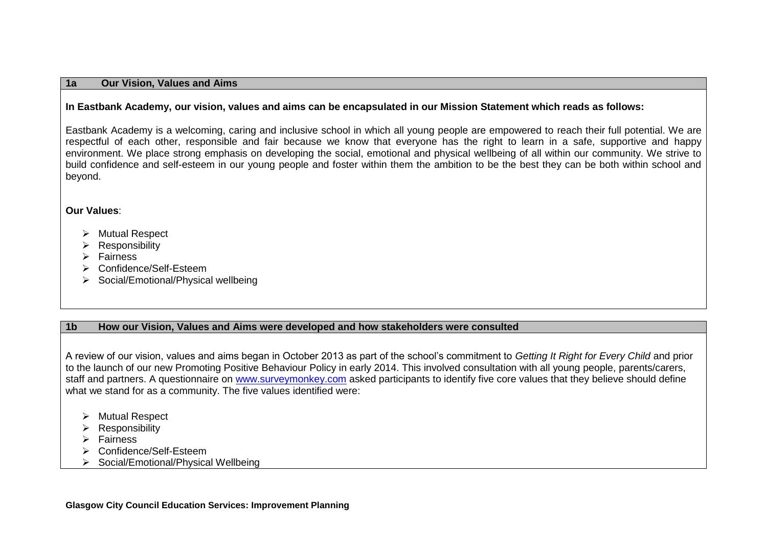#### **1a Our Vision, Values and Aims**

#### **In Eastbank Academy, our vision, values and aims can be encapsulated in our Mission Statement which reads as follows:**

Eastbank Academy is a welcoming, caring and inclusive school in which all young people are empowered to reach their full potential. We are respectful of each other, responsible and fair because we know that everyone has the right to learn in a safe, supportive and happy environment. We place strong emphasis on developing the social, emotional and physical wellbeing of all within our community. We strive to build confidence and self-esteem in our young people and foster within them the ambition to be the best they can be both within school and beyond.

#### **Our Values**:

- > Mutual Respect
- $\triangleright$  Responsibility
- $\triangleright$  Fairness
- Confidence/Self-Esteem
- $\triangleright$  Social/Emotional/Physical wellbeing

#### **1b How our Vision, Values and Aims were developed and how stakeholders were consulted**

A review of our vision, values and aims began in October 2013 as part of the school's commitment to *Getting It Right for Every Child* and prior to the launch of our new Promoting Positive Behaviour Policy in early 2014. This involved consultation with all young people, parents/carers, staff and partners. A questionnaire on [www.surveymonkey.com](http://www.surveymonkey.com/) asked participants to identify five core values that they believe should define what we stand for as a community. The five values identified were:

- $\triangleright$  Mutual Respect
- $\triangleright$  Responsibility
- $\triangleright$  Fairness
- Confidence/Self-Esteem
- ▶ Social/Emotional/Physical Wellbeing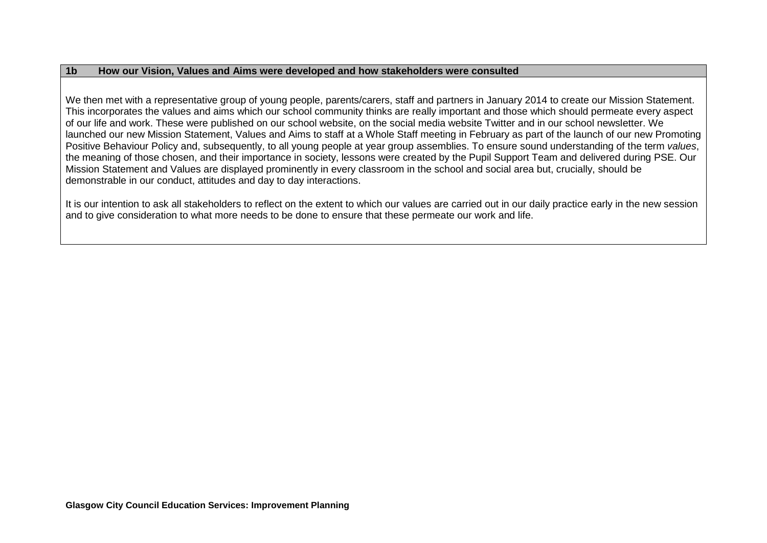#### **1b How our Vision, Values and Aims were developed and how stakeholders were consulted**

We then met with a representative group of young people, parents/carers, staff and partners in January 2014 to create our Mission Statement. This incorporates the values and aims which our school community thinks are really important and those which should permeate every aspect of our life and work. These were published on our school website, on the social media website Twitter and in our school newsletter. We launched our new Mission Statement, Values and Aims to staff at a Whole Staff meeting in February as part of the launch of our new Promoting Positive Behaviour Policy and, subsequently, to all young people at year group assemblies. To ensure sound understanding of the term *values*, the meaning of those chosen, and their importance in society, lessons were created by the Pupil Support Team and delivered during PSE. Our Mission Statement and Values are displayed prominently in every classroom in the school and social area but, crucially, should be demonstrable in our conduct, attitudes and day to day interactions.

It is our intention to ask all stakeholders to reflect on the extent to which our values are carried out in our daily practice early in the new session and to give consideration to what more needs to be done to ensure that these permeate our work and life.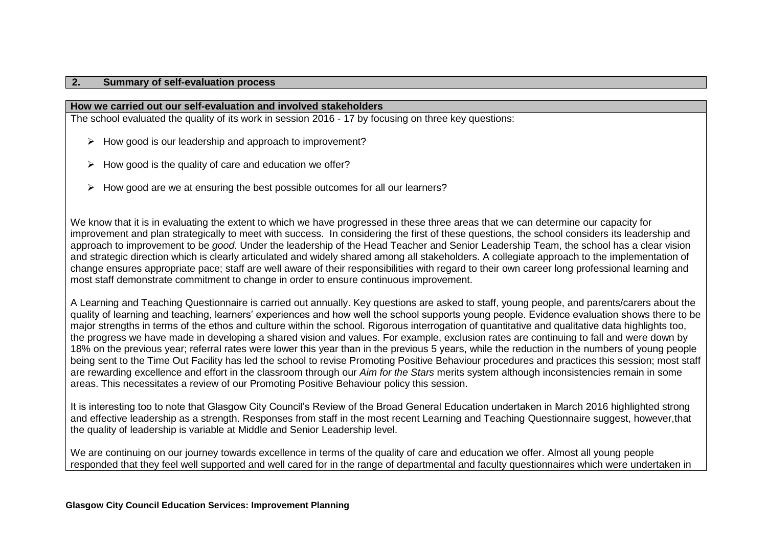#### **2. Summary of self-evaluation process**

#### **How we carried out our self-evaluation and involved stakeholders**

The school evaluated the quality of its work in session 2016 - 17 by focusing on three key questions:

- $\triangleright$  How good is our leadership and approach to improvement?
- $\triangleright$  How good is the quality of care and education we offer?
- $\triangleright$  How good are we at ensuring the best possible outcomes for all our learners?

We know that it is in evaluating the extent to which we have progressed in these three areas that we can determine our capacity for improvement and plan strategically to meet with success. In considering the first of these questions, the school considers its leadership and approach to improvement to be *good*. Under the leadership of the Head Teacher and Senior Leadership Team, the school has a clear vision and strategic direction which is clearly articulated and widely shared among all stakeholders. A collegiate approach to the implementation of change ensures appropriate pace; staff are well aware of their responsibilities with regard to their own career long professional learning and most staff demonstrate commitment to change in order to ensure continuous improvement.

A Learning and Teaching Questionnaire is carried out annually. Key questions are asked to staff, young people, and parents/carers about the quality of learning and teaching, learners' experiences and how well the school supports young people. Evidence evaluation shows there to be major strengths in terms of the ethos and culture within the school. Rigorous interrogation of quantitative and qualitative data highlights too, the progress we have made in developing a shared vision and values. For example, exclusion rates are continuing to fall and were down by 18% on the previous year; referral rates were lower this year than in the previous 5 years, while the reduction in the numbers of young people being sent to the Time Out Facility has led the school to revise Promoting Positive Behaviour procedures and practices this session; most staff are rewarding excellence and effort in the classroom through our *Aim for the Stars* merits system although inconsistencies remain in some areas. This necessitates a review of our Promoting Positive Behaviour policy this session.

It is interesting too to note that Glasgow City Council's Review of the Broad General Education undertaken in March 2016 highlighted strong and effective leadership as a strength. Responses from staff in the most recent Learning and Teaching Questionnaire suggest, however,that the quality of leadership is variable at Middle and Senior Leadership level.

We are continuing on our journey towards excellence in terms of the quality of care and education we offer. Almost all young people responded that they feel well supported and well cared for in the range of departmental and faculty questionnaires which were undertaken in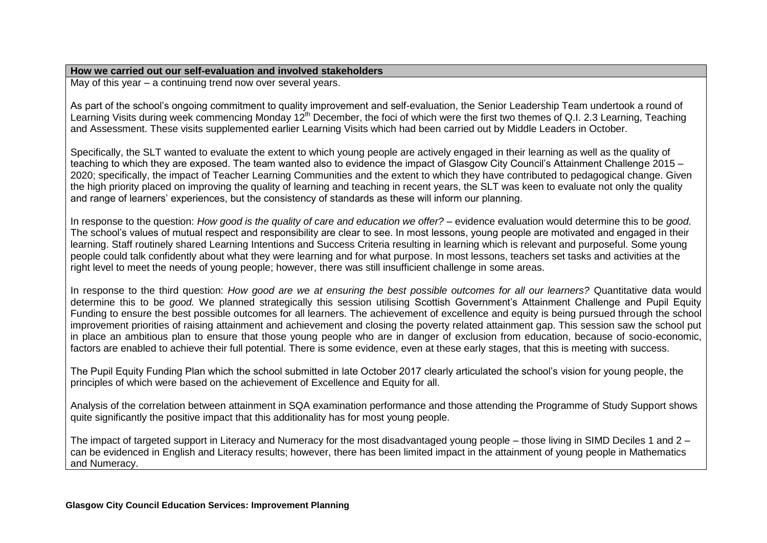#### **How we carried out our self-evaluation and involved stakeholders**

May of this year – a continuing trend now over several years.

As part of the school's ongoing commitment to quality improvement and self-evaluation, the Senior Leadership Team undertook a round of Learning Visits during week commencing Monday 12<sup>th</sup> December, the foci of which were the first two themes of Q.I. 2.3 Learning, Teaching and Assessment. These visits supplemented earlier Learning Visits which had been carried out by Middle Leaders in October.

Specifically, the SLT wanted to evaluate the extent to which young people are actively engaged in their learning as well as the quality of teaching to which they are exposed. The team wanted also to evidence the impact of Glasgow City Council's Attainment Challenge 2015 – 2020; specifically, the impact of Teacher Learning Communities and the extent to which they have contributed to pedagogical change. Given the high priority placed on improving the quality of learning and teaching in recent years, the SLT was keen to evaluate not only the quality and range of learners' experiences, but the consistency of standards as these will inform our planning.

In response to the question: *How good is the quality of care and education we offer?* – evidence evaluation would determine this to be *good*. The school's values of mutual respect and responsibility are clear to see. In most lessons, young people are motivated and engaged in their learning. Staff routinely shared Learning Intentions and Success Criteria resulting in learning which is relevant and purposeful. Some young people could talk confidently about what they were learning and for what purpose. In most lessons, teachers set tasks and activities at the right level to meet the needs of young people; however, there was still insufficient challenge in some areas.

In response to the third question: *How good are we at ensuring the best possible outcomes for all our learners?* Quantitative data would determine this to be *good.* We planned strategically this session utilising Scottish Government's Attainment Challenge and Pupil Equity Funding to ensure the best possible outcomes for all learners. The achievement of excellence and equity is being pursued through the school improvement priorities of raising attainment and achievement and closing the poverty related attainment gap. This session saw the school put in place an ambitious plan to ensure that those young people who are in danger of exclusion from education, because of socio-economic, factors are enabled to achieve their full potential. There is some evidence, even at these early stages, that this is meeting with success.

The Pupil Equity Funding Plan which the school submitted in late October 2017 clearly articulated the school's vision for young people, the principles of which were based on the achievement of Excellence and Equity for all.

Analysis of the correlation between attainment in SQA examination performance and those attending the Programme of Study Support shows quite significantly the positive impact that this additionality has for most young people.

The impact of targeted support in Literacy and Numeracy for the most disadvantaged young people – those living in SIMD Deciles 1 and 2 – can be evidenced in English and Literacy results; however, there has been limited impact in the attainment of young people in Mathematics and Numeracy.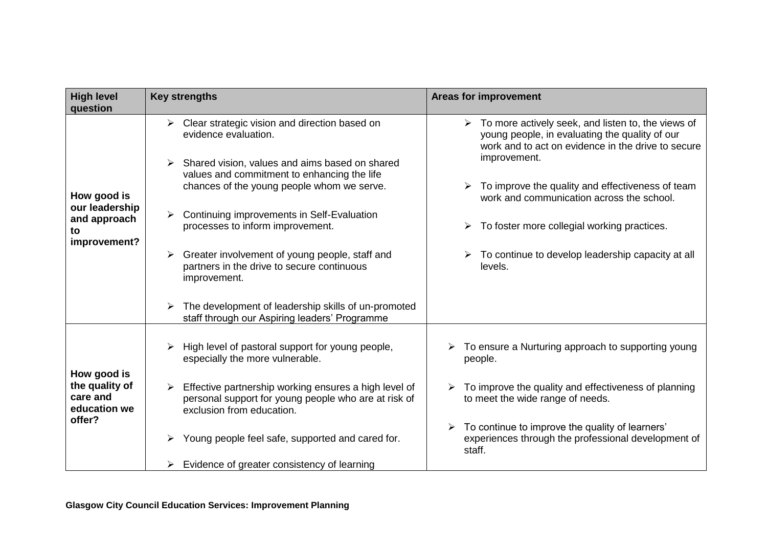| <b>High level</b><br>question                        | <b>Key strengths</b>                                                                                                                            | <b>Areas for improvement</b>                                                                                                                                                                |
|------------------------------------------------------|-------------------------------------------------------------------------------------------------------------------------------------------------|---------------------------------------------------------------------------------------------------------------------------------------------------------------------------------------------|
|                                                      | Clear strategic vision and direction based on<br>➤<br>evidence evaluation.                                                                      | $\triangleright$ To more actively seek, and listen to, the views of<br>young people, in evaluating the quality of our<br>work and to act on evidence in the drive to secure<br>improvement. |
| How good is                                          | Shared vision, values and aims based on shared<br>values and commitment to enhancing the life<br>chances of the young people whom we serve.     | $\triangleright$ To improve the quality and effectiveness of team<br>work and communication across the school.                                                                              |
| our leadership<br>and approach<br>to<br>improvement? | Continuing improvements in Self-Evaluation<br>processes to inform improvement.                                                                  | $\triangleright$ To foster more collegial working practices.                                                                                                                                |
|                                                      | Greater involvement of young people, staff and<br>➤<br>partners in the drive to secure continuous<br>improvement.                               | $\triangleright$ To continue to develop leadership capacity at all<br>levels.                                                                                                               |
|                                                      | The development of leadership skills of un-promoted<br>staff through our Aspiring leaders' Programme                                            |                                                                                                                                                                                             |
| How good is                                          | High level of pastoral support for young people,<br>especially the more vulnerable.                                                             | $\triangleright$ To ensure a Nurturing approach to supporting young<br>people.                                                                                                              |
| the quality of<br>care and<br>education we<br>offer? | Effective partnership working ensures a high level of<br>➤<br>personal support for young people who are at risk of<br>exclusion from education. | To improve the quality and effectiveness of planning<br>to meet the wide range of needs.                                                                                                    |
|                                                      | Young people feel safe, supported and cared for.                                                                                                | To continue to improve the quality of learners'<br>experiences through the professional development of<br>staff.                                                                            |
|                                                      | Evidence of greater consistency of learning<br>➤                                                                                                |                                                                                                                                                                                             |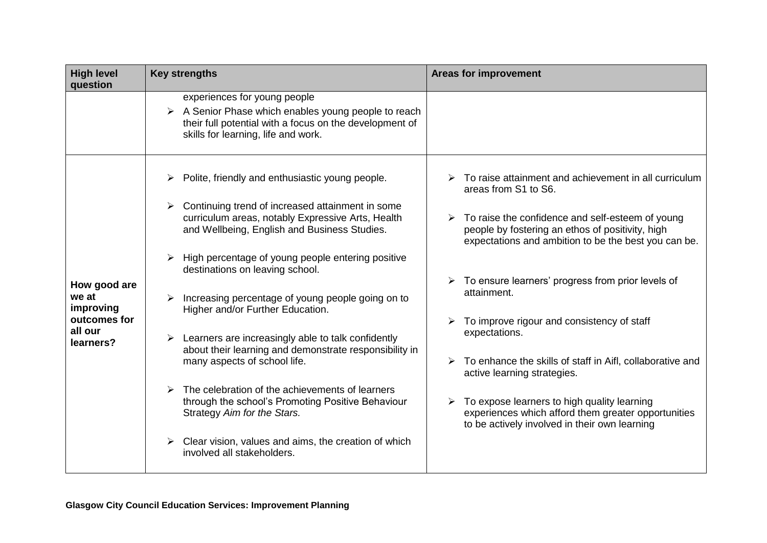| <b>High level</b><br>question                                              | <b>Key strengths</b>                                                                                                                                                                                                                                                                                                                                                                                                                                                                                                                                                                                                                                                                                                                                                   | <b>Areas for improvement</b>                                                                                                                                                                                                                                                                                                                                                                                                                                                                                                                                                                                                                                          |
|----------------------------------------------------------------------------|------------------------------------------------------------------------------------------------------------------------------------------------------------------------------------------------------------------------------------------------------------------------------------------------------------------------------------------------------------------------------------------------------------------------------------------------------------------------------------------------------------------------------------------------------------------------------------------------------------------------------------------------------------------------------------------------------------------------------------------------------------------------|-----------------------------------------------------------------------------------------------------------------------------------------------------------------------------------------------------------------------------------------------------------------------------------------------------------------------------------------------------------------------------------------------------------------------------------------------------------------------------------------------------------------------------------------------------------------------------------------------------------------------------------------------------------------------|
|                                                                            | experiences for young people<br>$\triangleright$ A Senior Phase which enables young people to reach<br>their full potential with a focus on the development of<br>skills for learning, life and work.                                                                                                                                                                                                                                                                                                                                                                                                                                                                                                                                                                  |                                                                                                                                                                                                                                                                                                                                                                                                                                                                                                                                                                                                                                                                       |
| How good are<br>we at<br>improving<br>outcomes for<br>all our<br>learners? | Polite, friendly and enthusiastic young people.<br>Continuing trend of increased attainment in some<br>curriculum areas, notably Expressive Arts, Health<br>and Wellbeing, English and Business Studies.<br>High percentage of young people entering positive<br>destinations on leaving school.<br>Increasing percentage of young people going on to<br>Higher and/or Further Education.<br>Learners are increasingly able to talk confidently<br>about their learning and demonstrate responsibility in<br>many aspects of school life.<br>The celebration of the achievements of learners<br>through the school's Promoting Positive Behaviour<br>Strategy Aim for the Stars.<br>Clear vision, values and aims, the creation of which<br>involved all stakeholders. | To raise attainment and achievement in all curriculum<br>areas from S1 to S6.<br>$\triangleright$ To raise the confidence and self-esteem of young<br>people by fostering an ethos of positivity, high<br>expectations and ambition to be the best you can be.<br>To ensure learners' progress from prior levels of<br>attainment.<br>To improve rigour and consistency of staff<br>expectations.<br>$\triangleright$ To enhance the skills of staff in Aifl, collaborative and<br>active learning strategies.<br>To expose learners to high quality learning<br>experiences which afford them greater opportunities<br>to be actively involved in their own learning |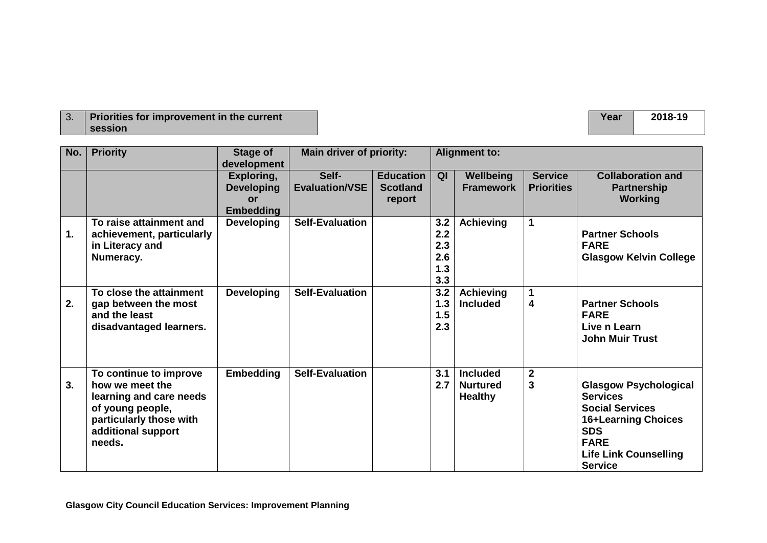| <b>Priorities for improvement in the current</b> |
|--------------------------------------------------|
| session                                          |

| No.           | <b>Priority</b>           | Stage of          | <b>Main driver of priority:</b> |                  | <b>Alignment to:</b> |                  |                         |                               |
|---------------|---------------------------|-------------------|---------------------------------|------------------|----------------------|------------------|-------------------------|-------------------------------|
|               |                           | development       |                                 |                  |                      |                  |                         |                               |
|               |                           | Exploring,        | Self-                           | <b>Education</b> | QI                   | Wellbeing        | <b>Service</b>          | <b>Collaboration and</b>      |
|               |                           | <b>Developing</b> | <b>Evaluation/VSE</b>           | <b>Scotland</b>  |                      | <b>Framework</b> | <b>Priorities</b>       | <b>Partnership</b>            |
|               |                           | or                |                                 | report           |                      |                  |                         | <b>Working</b>                |
|               |                           | <b>Embedding</b>  |                                 |                  |                      |                  |                         |                               |
|               | To raise attainment and   | <b>Developing</b> | <b>Self-Evaluation</b>          |                  | 3.2                  | <b>Achieving</b> | 1                       |                               |
| $\mathbf 1$ . | achievement, particularly |                   |                                 |                  | 2.2                  |                  |                         | <b>Partner Schools</b>        |
|               | in Literacy and           |                   |                                 |                  | 2.3                  |                  |                         | <b>FARE</b>                   |
|               | Numeracy.                 |                   |                                 |                  | 2.6                  |                  |                         | <b>Glasgow Kelvin College</b> |
|               |                           |                   |                                 |                  | 1.3                  |                  |                         |                               |
|               |                           |                   |                                 |                  | 3.3                  |                  |                         |                               |
|               | To close the attainment   | <b>Developing</b> | <b>Self-Evaluation</b>          |                  | 3.2                  | <b>Achieving</b> | 1                       |                               |
| 2.            | gap between the most      |                   |                                 |                  | 1.3                  | <b>Included</b>  | $\overline{\mathbf{4}}$ | <b>Partner Schools</b>        |
|               | and the least             |                   |                                 |                  | 1.5                  |                  |                         | <b>FARE</b>                   |
|               | disadvantaged learners.   |                   |                                 |                  | 2.3                  |                  |                         | Live n Learn                  |
|               |                           |                   |                                 |                  |                      |                  |                         | <b>John Muir Trust</b>        |
|               |                           |                   |                                 |                  |                      |                  |                         |                               |
|               |                           |                   |                                 |                  |                      |                  |                         |                               |
|               | To continue to improve    | <b>Embedding</b>  | <b>Self-Evaluation</b>          |                  | 3.1                  | <b>Included</b>  | $\mathbf{2}$            |                               |
| 3.            | how we meet the           |                   |                                 |                  | 2.7                  | <b>Nurtured</b>  | $\mathbf{3}$            | <b>Glasgow Psychological</b>  |
|               | learning and care needs   |                   |                                 |                  |                      | <b>Healthy</b>   |                         | <b>Services</b>               |
|               | of young people,          |                   |                                 |                  |                      |                  |                         | <b>Social Services</b>        |
|               | particularly those with   |                   |                                 |                  |                      |                  |                         | 16+Learning Choices           |
|               | additional support        |                   |                                 |                  |                      |                  |                         | <b>SDS</b>                    |
|               | needs.                    |                   |                                 |                  |                      |                  |                         | <b>FARE</b>                   |
|               |                           |                   |                                 |                  |                      |                  |                         | <b>Life Link Counselling</b>  |
|               |                           |                   |                                 |                  |                      |                  |                         | <b>Service</b>                |

**Year 2018-19**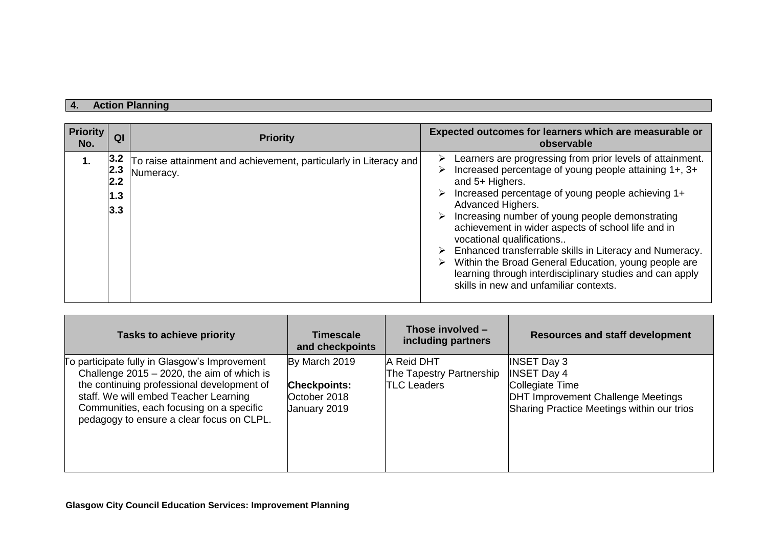## **4. Action Planning**

| <b>Priority</b><br>No. | QI                              | <b>Priority</b>                                                                | Expected outcomes for learners which are measurable or<br>observable                                                                                                                                                                                                                                                                                                                                                                                                                                                                                                                                      |
|------------------------|---------------------------------|--------------------------------------------------------------------------------|-----------------------------------------------------------------------------------------------------------------------------------------------------------------------------------------------------------------------------------------------------------------------------------------------------------------------------------------------------------------------------------------------------------------------------------------------------------------------------------------------------------------------------------------------------------------------------------------------------------|
| 1.                     | 3.2<br>2.3<br>2.2<br>1.3<br>3.3 | To raise attainment and achievement, particularly in Literacy and<br>Numeracy. | Learners are progressing from prior levels of attainment.<br>➤<br>Increased percentage of young people attaining 1+, 3+<br>⋗<br>and 5+ Highers.<br>Increased percentage of young people achieving 1+<br>Advanced Highers.<br>Increasing number of young people demonstrating<br>achievement in wider aspects of school life and in<br>vocational qualifications<br>$\triangleright$ Enhanced transferrable skills in Literacy and Numeracy.<br>Within the Broad General Education, young people are<br>learning through interdisciplinary studies and can apply<br>skills in new and unfamiliar contexts. |

| Tasks to achieve priority                                                                                                                                                                                                                                                      | <b>Timescale</b><br>and checkpoints                                  | Those involved $-$<br>including partners                     | <b>Resources and staff development</b>                                                                                                                 |
|--------------------------------------------------------------------------------------------------------------------------------------------------------------------------------------------------------------------------------------------------------------------------------|----------------------------------------------------------------------|--------------------------------------------------------------|--------------------------------------------------------------------------------------------------------------------------------------------------------|
| To participate fully in Glasgow's Improvement<br>Challenge $2015 - 2020$ , the aim of which is<br>the continuing professional development of<br>staff. We will embed Teacher Learning<br>Communities, each focusing on a specific<br>pedagogy to ensure a clear focus on CLPL. | By March 2019<br><b>Checkpoints:</b><br>October 2018<br>January 2019 | A Reid DHT<br>The Tapestry Partnership<br><b>TLC Leaders</b> | <b>INSET Day 3</b><br><b>INSET Day 4</b><br>Collegiate Time<br><b>DHT Improvement Challenge Meetings</b><br>Sharing Practice Meetings within our trios |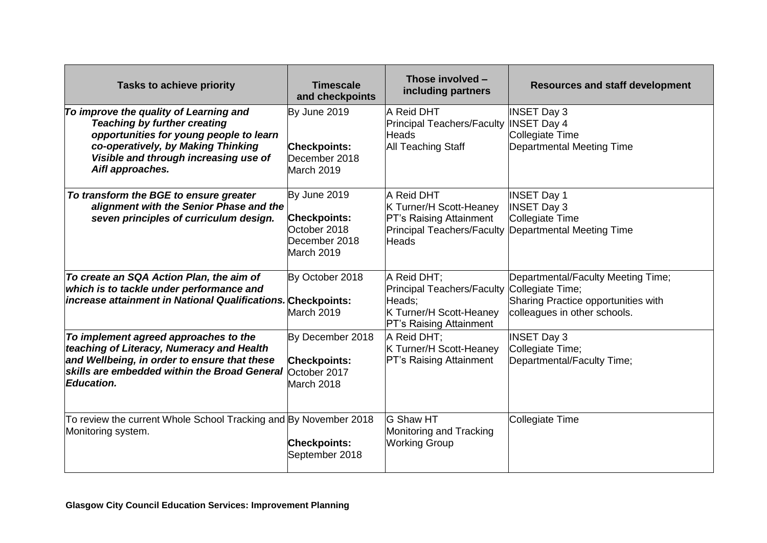| <b>Tasks to achieve priority</b>                                                                                                                                                                                            | <b>Timescale</b><br>and checkpoints                                                | Those involved -<br>including partners                                                                                            | <b>Resources and staff development</b>                                                                              |
|-----------------------------------------------------------------------------------------------------------------------------------------------------------------------------------------------------------------------------|------------------------------------------------------------------------------------|-----------------------------------------------------------------------------------------------------------------------------------|---------------------------------------------------------------------------------------------------------------------|
| To improve the quality of Learning and<br><b>Teaching by further creating</b><br>opportunities for young people to learn<br>co-operatively, by Making Thinking<br>Visible and through increasing use of<br>Aifl approaches. | By June 2019<br><b>Checkpoints:</b><br>December 2018<br>March 2019                 | A Reid DHT<br>Principal Teachers/Faculty  INSET Day 4<br><b>Heads</b><br><b>All Teaching Staff</b>                                | <b>INSET Day 3</b><br>Collegiate Time<br>Departmental Meeting Time                                                  |
| To transform the BGE to ensure greater<br>alignment with the Senior Phase and the<br>seven principles of curriculum design.                                                                                                 | By June 2019<br><b>Checkpoints:</b><br>October 2018<br>December 2018<br>March 2019 | A Reid DHT<br>K Turner/H Scott-Heaney<br><b>PT's Raising Attainment</b><br><b>Heads</b>                                           | <b>INSET Day 1</b><br><b>INSET Day 3</b><br>Collegiate Time<br>Principal Teachers/Faculty Departmental Meeting Time |
| To create an SQA Action Plan, the aim of<br>which is to tackle under performance and<br>increase attainment in National Qualifications. Checkpoints:                                                                        | By October 2018<br>March 2019                                                      | A Reid DHT;<br>Principal Teachers/Faculty Collegiate Time;<br>Heads;<br>K Turner/H Scott-Heaney<br><b>PT's Raising Attainment</b> | Departmental/Faculty Meeting Time;<br>Sharing Practice opportunities with<br>colleagues in other schools.           |
| To implement agreed approaches to the<br>teaching of Literacy, Numeracy and Health<br>and Wellbeing, in order to ensure that these<br>skills are embedded within the Broad General October 2017<br><b>Education.</b>        | By December 2018<br><b>Checkpoints:</b><br>March 2018                              | A Reid DHT;<br>K Turner/H Scott-Heaney<br><b>PT's Raising Attainment</b>                                                          | <b>INSET Day 3</b><br>Collegiate Time;<br>Departmental/Faculty Time;                                                |
| To review the current Whole School Tracking and By November 2018<br>Monitoring system.                                                                                                                                      | <b>Checkpoints:</b><br>September 2018                                              | <b>G Shaw HT</b><br>Monitoring and Tracking<br><b>Working Group</b>                                                               | Collegiate Time                                                                                                     |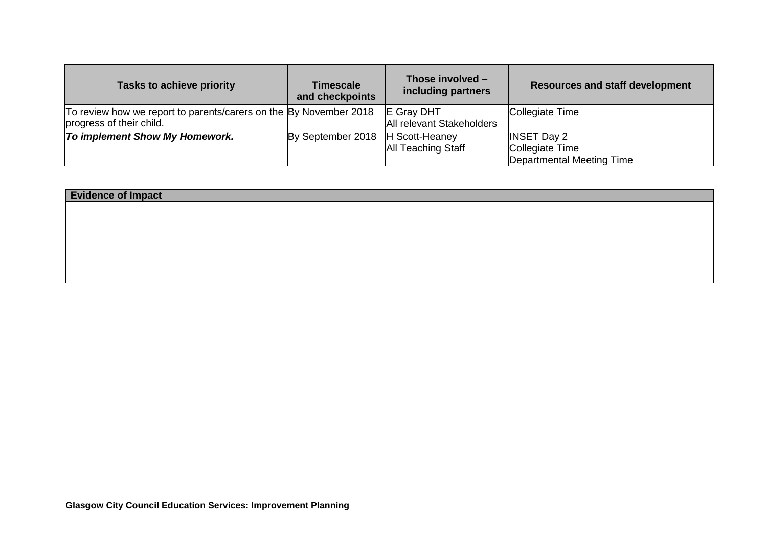| <b>Tasks to achieve priority</b>                                  | <b>Timescale</b><br>and checkpoints | Those involved -<br>including partners | <b>Resources and staff development</b> |
|-------------------------------------------------------------------|-------------------------------------|----------------------------------------|----------------------------------------|
| To review how we report to parents/carers on the By November 2018 |                                     | <b>E</b> Gray DHT                      | Collegiate Time                        |
| progress of their child.                                          |                                     | All relevant Stakeholders              |                                        |
| <b>To implement Show My Homework.</b>                             | By September 2018                   | H Scott-Heaney                         | <b>INSET Day 2</b>                     |
|                                                                   |                                     | <b>All Teaching Staff</b>              | Collegiate Time                        |
|                                                                   |                                     |                                        | Departmental Meeting Time              |

| <b>Evidence of Impact</b> |  |
|---------------------------|--|
|                           |  |
|                           |  |
|                           |  |
|                           |  |
|                           |  |
|                           |  |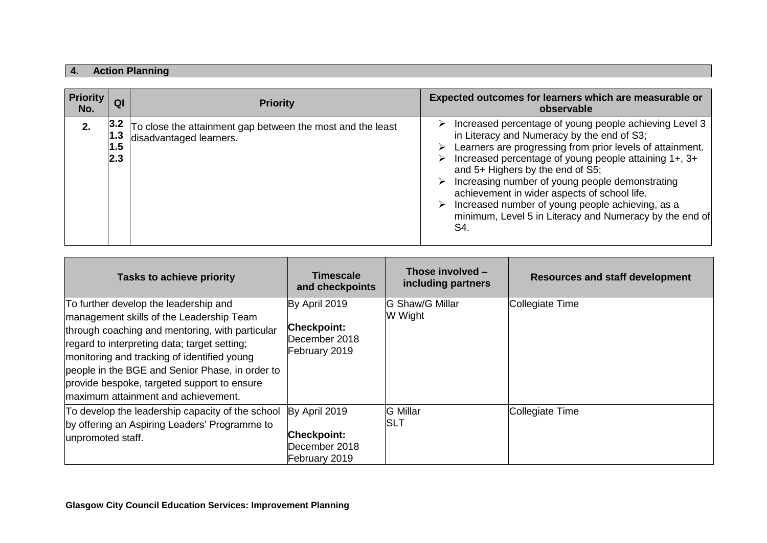# **4. Action Planning**

| <b>Priority</b><br>No. | QI                        | <b>Priority</b>                                                                       | Expected outcomes for learners which are measurable or<br>observable                                                                                                                                                                                                                                                                                                                                                                                                                                        |
|------------------------|---------------------------|---------------------------------------------------------------------------------------|-------------------------------------------------------------------------------------------------------------------------------------------------------------------------------------------------------------------------------------------------------------------------------------------------------------------------------------------------------------------------------------------------------------------------------------------------------------------------------------------------------------|
| 2.                     | 3.2 <br>1.3<br>1.5<br>2.3 | To close the attainment gap between the most and the least<br>disadvantaged learners. | Increased percentage of young people achieving Level 3<br>➤<br>in Literacy and Numeracy by the end of S3;<br>Learners are progressing from prior levels of attainment.<br>➤<br>Increased percentage of young people attaining 1+, 3+<br>⋗<br>and 5+ Highers by the end of S5;<br>Increasing number of young people demonstrating<br>achievement in wider aspects of school life.<br>Increased number of young people achieving, as a<br>➤<br>minimum, Level 5 in Literacy and Numeracy by the end of<br>S4. |

| <b>Tasks to achieve priority</b>                                                                                                                                                                                                                                                                                                                                              | <b>Timescale</b><br>and checkpoints                                   | Those involved -<br>including partners | <b>Resources and staff development</b> |
|-------------------------------------------------------------------------------------------------------------------------------------------------------------------------------------------------------------------------------------------------------------------------------------------------------------------------------------------------------------------------------|-----------------------------------------------------------------------|----------------------------------------|----------------------------------------|
| To further develop the leadership and<br>management skills of the Leadership Team<br>through coaching and mentoring, with particular<br>regard to interpreting data; target setting;<br>monitoring and tracking of identified young<br>people in the BGE and Senior Phase, in order to<br>provide bespoke, targeted support to ensure<br>Imaximum attainment and achievement. | By April 2019<br><b>Checkpoint:</b><br>December 2018<br>February 2019 | <b>G Shaw/G Millar</b><br>W Wight      | Collegiate Time                        |
| To develop the leadership capacity of the school<br>by offering an Aspiring Leaders' Programme to<br>unpromoted staff.                                                                                                                                                                                                                                                        | By April 2019<br><b>Checkpoint:</b><br>December 2018<br>February 2019 | <b>G</b> Millar<br><b>ISLT</b>         | Collegiate Time                        |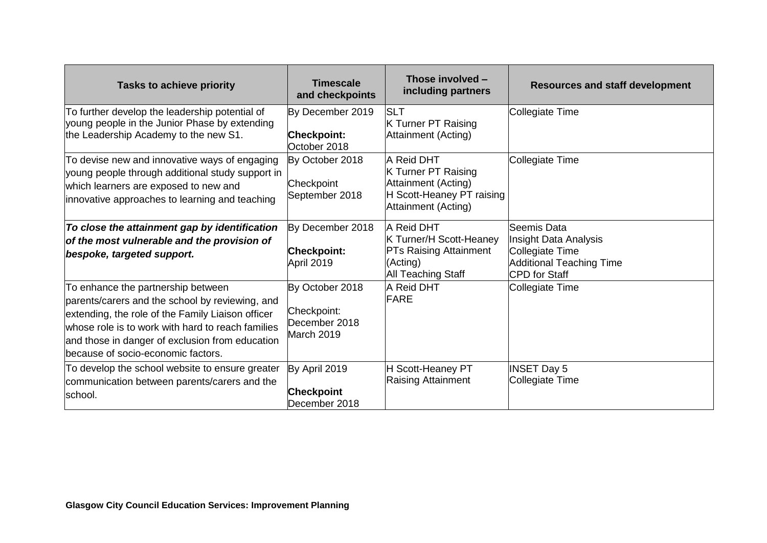| <b>Tasks to achieve priority</b>                                                                                                                                                                                                                                                         | <b>Timescale</b><br>and checkpoints                           | Those involved -<br>including partners                                                                              | <b>Resources and staff development</b>                                                                      |
|------------------------------------------------------------------------------------------------------------------------------------------------------------------------------------------------------------------------------------------------------------------------------------------|---------------------------------------------------------------|---------------------------------------------------------------------------------------------------------------------|-------------------------------------------------------------------------------------------------------------|
| To further develop the leadership potential of<br>young people in the Junior Phase by extending<br>the Leadership Academy to the new S1.                                                                                                                                                 | By December 2019<br><b>Checkpoint:</b><br>October 2018        | <b>SLT</b><br><b>K Turner PT Raising</b><br>Attainment (Acting)                                                     | Collegiate Time                                                                                             |
| To devise new and innovative ways of engaging<br>young people through additional study support in<br>which learners are exposed to new and<br>innovative approaches to learning and teaching                                                                                             | By October 2018<br>Checkpoint<br>September 2018               | <b>A Reid DHT</b><br>K Turner PT Raising<br>Attainment (Acting)<br>H Scott-Heaney PT raising<br>Attainment (Acting) | Collegiate Time                                                                                             |
| To close the attainment gap by identification<br>of the most vulnerable and the provision of<br>bespoke, targeted support.                                                                                                                                                               | By December 2018<br><b>Checkpoint:</b><br>April 2019          | A Reid DHT<br>K Turner/H Scott-Heaney<br><b>PTs Raising Attainment</b><br>(Acting)<br><b>All Teaching Staff</b>     | Seemis Data<br>Insight Data Analysis<br>Collegiate Time<br><b>Additional Teaching Time</b><br>CPD for Staff |
| To enhance the partnership between<br>parents/carers and the school by reviewing, and<br>extending, the role of the Family Liaison officer<br>whose role is to work with hard to reach families<br>and those in danger of exclusion from education<br>because of socio-economic factors. | By October 2018<br>Checkpoint:<br>December 2018<br>March 2019 | A Reid DHT<br><b>FARE</b>                                                                                           | Collegiate Time                                                                                             |
| To develop the school website to ensure greater<br>communication between parents/carers and the<br>school.                                                                                                                                                                               | By April 2019<br><b>Checkpoint</b><br>December 2018           | H Scott-Heaney PT<br>Raising Attainment                                                                             | <b>INSET Day 5</b><br>Collegiate Time                                                                       |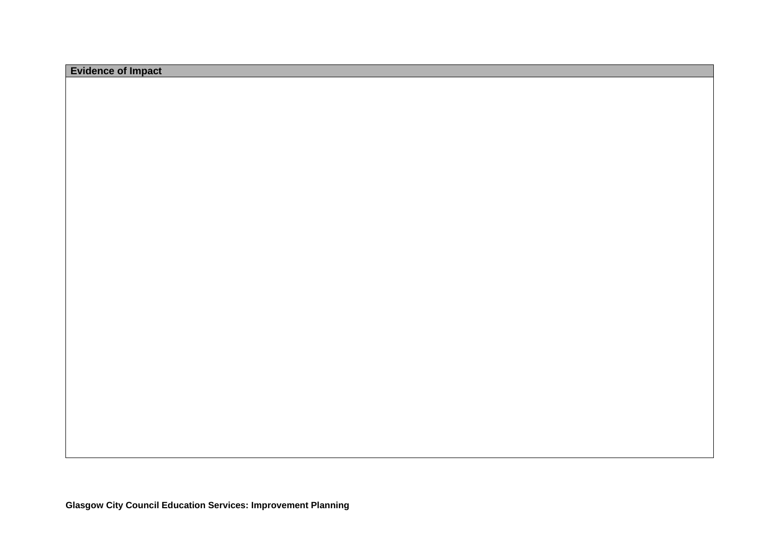| <b>Evidence of Impact</b> |  |
|---------------------------|--|
|---------------------------|--|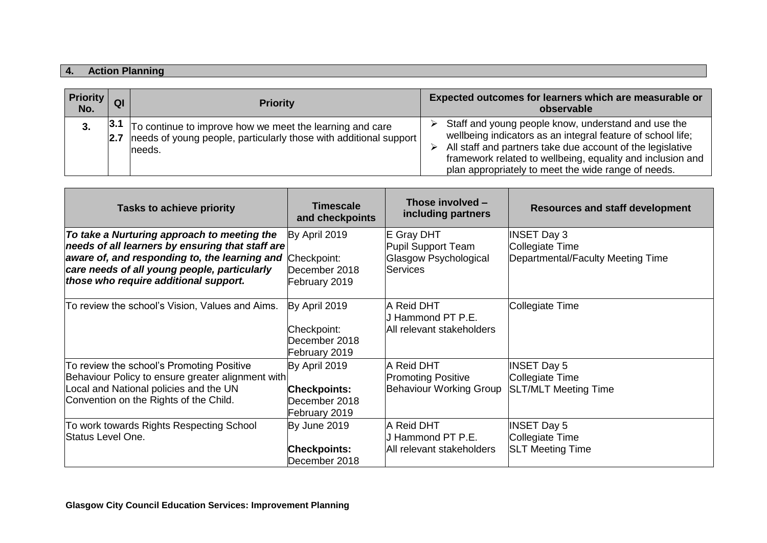# **4. Action Planning**

| <b>Priority</b><br>No. | QI           | <b>Priority</b>                                                                                                                          |        | Expected outcomes for learners which are measurable or<br>observable                                                                                                                                                                                                                                  |
|------------------------|--------------|------------------------------------------------------------------------------------------------------------------------------------------|--------|-------------------------------------------------------------------------------------------------------------------------------------------------------------------------------------------------------------------------------------------------------------------------------------------------------|
| 3.                     | 3.1 <br> 2.7 | To continue to improve how we meet the learning and care<br>needs of young people, particularly those with additional support<br>lneeds. | ➤<br>⋗ | Staff and young people know, understand and use the<br>wellbeing indicators as an integral feature of school life;<br>All staff and partners take due account of the legislative<br>framework related to wellbeing, equality and inclusion and<br>plan appropriately to meet the wide range of needs. |

| <b>Tasks to achieve priority</b>                                                                                                                                                                                                          | <b>Timescale</b><br>and checkpoints                                    | Those involved -<br>including partners                                       | <b>Resources and staff development</b>                                     |
|-------------------------------------------------------------------------------------------------------------------------------------------------------------------------------------------------------------------------------------------|------------------------------------------------------------------------|------------------------------------------------------------------------------|----------------------------------------------------------------------------|
| To take a Nurturing approach to meeting the<br>needs of all learners by ensuring that staff are<br>aware of, and responding to, the learning and<br>care needs of all young people, particularly<br>those who require additional support. | By April 2019<br>Checkpoint:<br>December 2018<br>February 2019         | E Gray DHT<br>Pupil Support Team<br>Glasgow Psychological<br><b>Services</b> | <b>INSET Day 3</b><br>Collegiate Time<br>Departmental/Faculty Meeting Time |
| To review the school's Vision, Values and Aims.                                                                                                                                                                                           | By April 2019<br>Checkpoint:<br>December 2018<br>February 2019         | A Reid DHT<br>J Hammond PT P.E.<br>All relevant stakeholders                 | Collegiate Time                                                            |
| To review the school's Promoting Positive<br>Behaviour Policy to ensure greater alignment with<br>Local and National policies and the UN<br>Convention on the Rights of the Child.                                                        | By April 2019<br><b>Checkpoints:</b><br>December 2018<br>February 2019 | A Reid DHT<br><b>Promoting Positive</b><br><b>Behaviour Working Group</b>    | <b>INSET Day 5</b><br>Collegiate Time<br><b>SLT/MLT Meeting Time</b>       |
| To work towards Rights Respecting School<br><b>Status Level One.</b>                                                                                                                                                                      | By June 2019<br><b>Checkpoints:</b><br>December 2018                   | A Reid DHT<br>J Hammond PT P.E.<br>All relevant stakeholders                 | <b>INSET Day 5</b><br>Collegiate Time<br><b>SLT Meeting Time</b>           |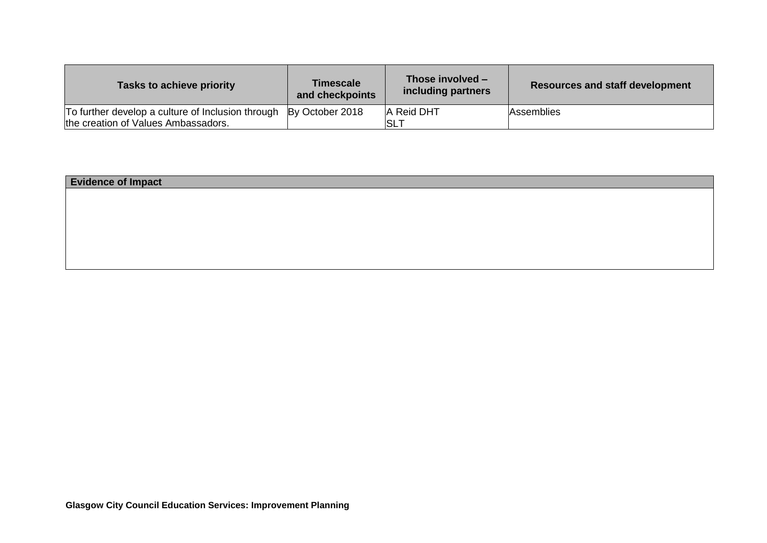| Tasks to achieve priority                                                                | <b>Timescale</b><br>and checkpoints | Those involved -<br>including partners | <b>Resources and staff development</b> |
|------------------------------------------------------------------------------------------|-------------------------------------|----------------------------------------|----------------------------------------|
| To further develop a culture of Inclusion through<br>the creation of Values Ambassadors. | By October 2018                     | A Reid DHT<br><b>SLT</b>               | Assemblies                             |

| <b>Evidence of Impact</b> |  |  |  |
|---------------------------|--|--|--|
|                           |  |  |  |
|                           |  |  |  |
|                           |  |  |  |
|                           |  |  |  |
|                           |  |  |  |
|                           |  |  |  |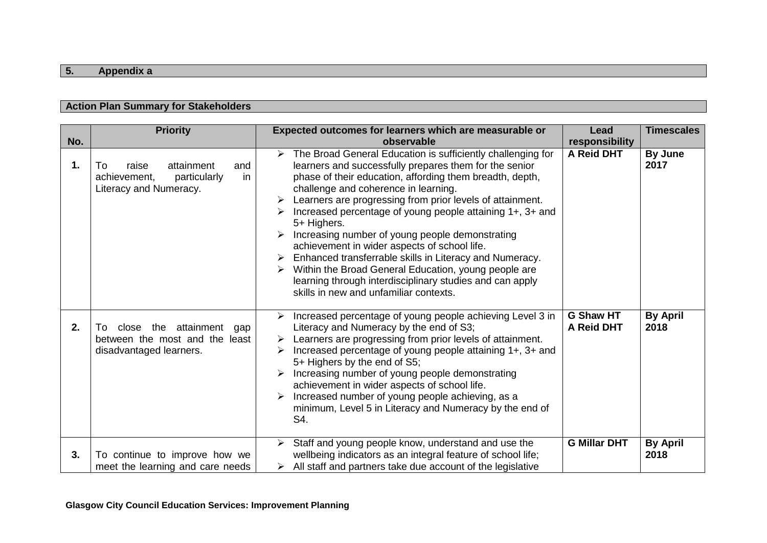# **5. Appendix a**

## **Action Plan Summary for Stakeholders**

| No. | <b>Priority</b>                                                                                    | Expected outcomes for learners which are measurable or<br>observable                                                                                                                                                                                                                                                                                                                                                                                                                                                                                                                                                                                                                                                    | Lead<br>responsibility         | <b>Timescales</b>       |
|-----|----------------------------------------------------------------------------------------------------|-------------------------------------------------------------------------------------------------------------------------------------------------------------------------------------------------------------------------------------------------------------------------------------------------------------------------------------------------------------------------------------------------------------------------------------------------------------------------------------------------------------------------------------------------------------------------------------------------------------------------------------------------------------------------------------------------------------------------|--------------------------------|-------------------------|
| 1.  | raise<br>attainment<br>and<br>To<br>achievement,<br>particularly<br>in<br>Literacy and Numeracy.   | The Broad General Education is sufficiently challenging for<br>$\blacktriangleright$<br>learners and successfully prepares them for the senior<br>phase of their education, affording them breadth, depth,<br>challenge and coherence in learning.<br>Learners are progressing from prior levels of attainment.<br>Increased percentage of young people attaining 1+, 3+ and<br>5+ Highers.<br>Increasing number of young people demonstrating<br>achievement in wider aspects of school life.<br>Enhanced transferrable skills in Literacy and Numeracy.<br>Within the Broad General Education, young people are<br>learning through interdisciplinary studies and can apply<br>skills in new and unfamiliar contexts. | A Reid DHT                     | By June<br>2017         |
| 2.  | attainment<br>close the<br>To:<br>gap<br>between the most and the least<br>disadvantaged learners. | Increased percentage of young people achieving Level 3 in<br>Literacy and Numeracy by the end of S3;<br>Learners are progressing from prior levels of attainment.<br>Increased percentage of young people attaining 1+, 3+ and<br>➤<br>5+ Highers by the end of S5;<br>Increasing number of young people demonstrating<br>achievement in wider aspects of school life.<br>Increased number of young people achieving, as a<br>minimum, Level 5 in Literacy and Numeracy by the end of<br>S4.                                                                                                                                                                                                                            | <b>G Shaw HT</b><br>A Reid DHT | <b>By April</b><br>2018 |
| 3.  | To continue to improve how we<br>meet the learning and care needs                                  | Staff and young people know, understand and use the<br>➤<br>wellbeing indicators as an integral feature of school life;<br>$\triangleright$ All staff and partners take due account of the legislative                                                                                                                                                                                                                                                                                                                                                                                                                                                                                                                  | <b>G Millar DHT</b>            | <b>By April</b><br>2018 |